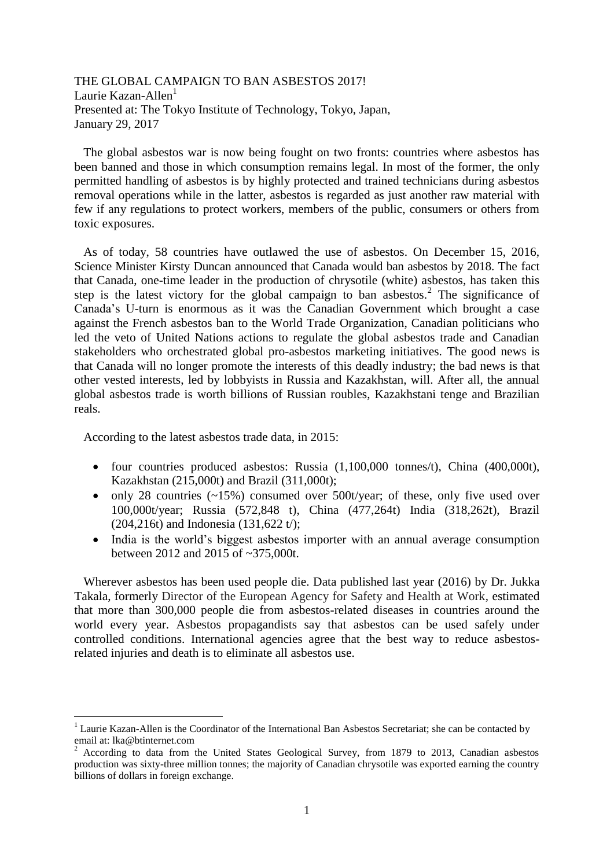THE GLOBAL CAMPAIGN TO BAN ASBESTOS 2017! Laurie Kazan-Allen $<sup>1</sup>$ </sup> Presented at: The Tokyo Institute of Technology, Tokyo, Japan, January 29, 2017

 The global asbestos war is now being fought on two fronts: countries where asbestos has been banned and those in which consumption remains legal. In most of the former, the only permitted handling of asbestos is by highly protected and trained technicians during asbestos removal operations while in the latter, asbestos is regarded as just another raw material with few if any regulations to protect workers, members of the public, consumers or others from toxic exposures.

 As of today, 58 countries have outlawed the use of asbestos. On December 15, 2016, Science Minister Kirsty Duncan announced that Canada would ban asbestos by 2018. The fact that Canada, one-time leader in the production of chrysotile (white) asbestos, has taken this step is the latest victory for the global campaign to ban asbestos.<sup>2</sup> The significance of Canada's U-turn is enormous as it was the Canadian Government which brought a case against the French asbestos ban to the World Trade Organization, Canadian politicians who led the veto of United Nations actions to regulate the global asbestos trade and Canadian stakeholders who orchestrated global pro-asbestos marketing initiatives. The good news is that Canada will no longer promote the interests of this deadly industry; the bad news is that other vested interests, led by lobbyists in Russia and Kazakhstan, will. After all, the annual global asbestos trade is worth billions of Russian roubles, Kazakhstani tenge and Brazilian reals.

According to the latest asbestos trade data, in 2015:

1

- four countries produced asbestos: Russia  $(1,100,000 \text{ tonnes/t})$ , China  $(400,000t)$ , Kazakhstan (215,000t) and Brazil (311,000t);
- $\bullet$  only 28 countries (~15%) consumed over 500t/year; of these, only five used over 100,000t/year; Russia (572,848 t), China (477,264t) India (318,262t), Brazil (204,216t) and Indonesia (131,622 t/);
- India is the world's biggest asbestos importer with an annual average consumption between 2012 and 2015 of ~375,000t.

 Wherever asbestos has been used people die. Data published last year (2016) by Dr. Jukka Takala, formerly Director of the European Agency for Safety and Health at Work, estimated that more than 300,000 people die from asbestos-related diseases in countries around the world every year. Asbestos propagandists say that asbestos can be used safely under controlled conditions. International agencies agree that the best way to reduce asbestosrelated injuries and death is to eliminate all asbestos use.

<sup>&</sup>lt;sup>1</sup> Laurie Kazan-Allen is the Coordinator of the International Ban Asbestos Secretariat; she can be contacted by email at: lka@btinternet.com

 $2$  According to data from the United States Geological Survey, from 1879 to 2013, Canadian asbestos production was sixty-three million tonnes; the majority of Canadian chrysotile was exported earning the country billions of dollars in foreign exchange.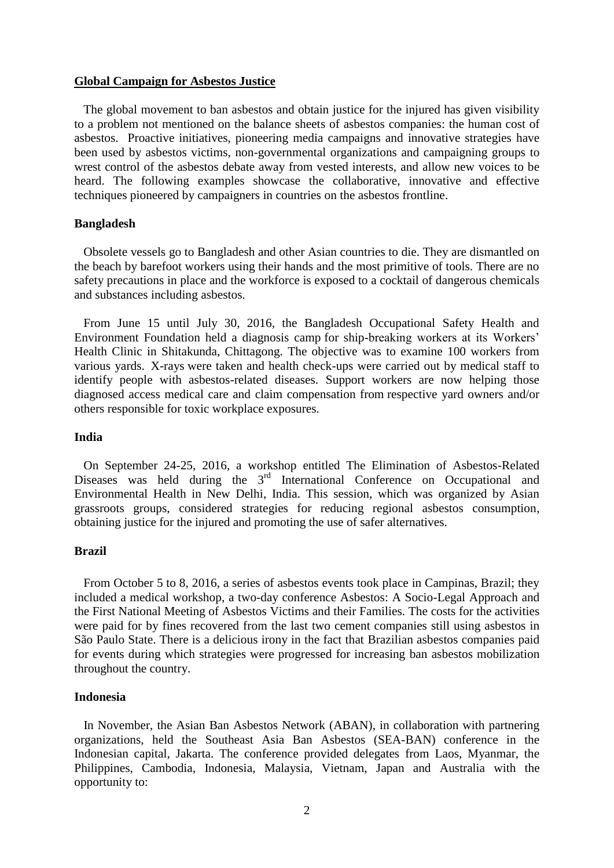#### **Global Campaign for Asbestos Justice**

 The global movement to ban asbestos and obtain justice for the injured has given visibility to a problem not mentioned on the balance sheets of asbestos companies: the human cost of asbestos. Proactive initiatives, pioneering media campaigns and innovative strategies have been used by asbestos victims, non-governmental organizations and campaigning groups to wrest control of the asbestos debate away from vested interests, and allow new voices to be heard. The following examples showcase the collaborative, innovative and effective techniques pioneered by campaigners in countries on the asbestos frontline.

# **Bangladesh**

 Obsolete vessels go to Bangladesh and other Asian countries to die. They are dismantled on the beach by barefoot workers using their hands and the most primitive of tools. There are no safety precautions in place and the workforce is exposed to a cocktail of dangerous chemicals and substances including asbestos.

 From June 15 until July 30, 2016, the Bangladesh Occupational Safety Health and Environment Foundation held a diagnosis camp for ship-breaking workers at its Workers' Health Clinic in Shitakunda, Chittagong. The objective was to examine 100 workers from various yards. X-rays were taken and health check-ups were carried out by medical staff to identify people with asbestos-related diseases. Support workers are now helping those diagnosed access medical care and claim compensation from respective yard owners and/or others responsible for toxic workplace exposures.

# **India**

 On September 24-25, 2016, a workshop entitled The Elimination of Asbestos-Related Diseases was held during the 3<sup>rd</sup> International Conference on Occupational and Environmental Health in New Delhi, India. This session, which was organized by Asian grassroots groups, considered strategies for reducing regional asbestos consumption, obtaining justice for the injured and promoting the use of safer alternatives.

#### **Brazil**

 From October 5 to 8, 2016, a series of asbestos events took place in Campinas, Brazil; they included a medical workshop, a two-day conference Asbestos: A Socio-Legal Approach and the First National Meeting of Asbestos Victims and their Families. The costs for the activities were paid for by fines recovered from the last two cement companies still using asbestos in São Paulo State. There is a delicious irony in the fact that Brazilian asbestos companies paid for events during which strategies were progressed for increasing ban asbestos mobilization throughout the country.

# **Indonesia**

 In November, the Asian Ban Asbestos Network (ABAN), in collaboration with partnering organizations, held the Southeast Asia Ban Asbestos (SEA-BAN) conference in the Indonesian capital, Jakarta. The conference provided delegates from Laos, Myanmar, the Philippines, Cambodia, Indonesia, Malaysia, Vietnam, Japan and Australia with the opportunity to: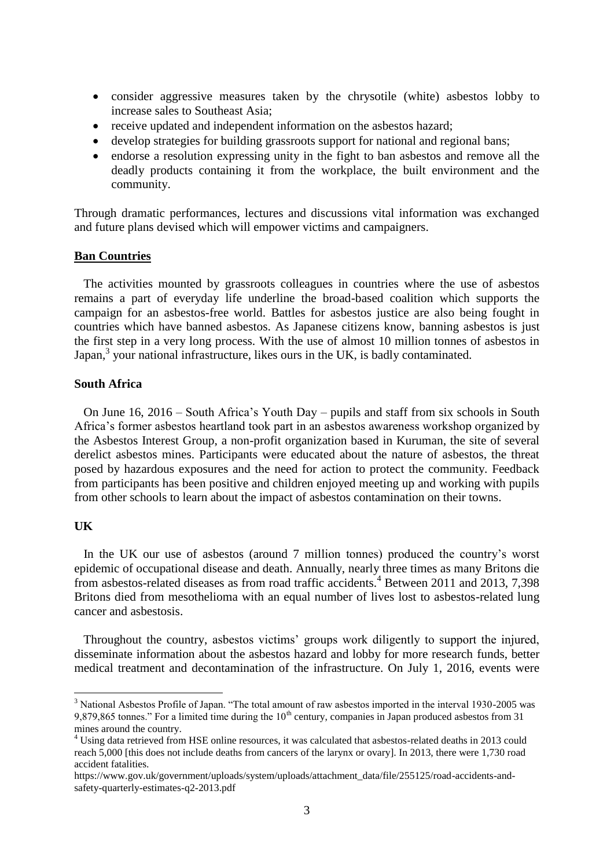- consider aggressive measures taken by the chrysotile (white) asbestos lobby to increase sales to Southeast Asia;
- receive updated and independent information on the asbestos hazard;
- develop strategies for building grassroots support for national and regional bans;
- endorse a resolution expressing unity in the fight to ban asbestos and remove all the deadly products containing it from the workplace, the built environment and the community.

Through dramatic performances, lectures and discussions vital information was exchanged and future plans devised which will empower victims and campaigners.

### **Ban Countries**

 The activities mounted by grassroots colleagues in countries where the use of asbestos remains a part of everyday life underline the broad-based coalition which supports the campaign for an asbestos-free world. Battles for asbestos justice are also being fought in countries which have banned asbestos. As Japanese citizens know, banning asbestos is just the first step in a very long process. With the use of almost 10 million tonnes of asbestos in Japan,<sup>3</sup> your national infrastructure, likes ours in the UK, is badly contaminated.

# **South Africa**

 On June 16, 2016 – South Africa's Youth Day – pupils and staff from six schools in South Africa's former asbestos heartland took part in an asbestos awareness workshop organized by the Asbestos Interest Group, a non-profit organization based in Kuruman, the site of several derelict asbestos mines. Participants were educated about the nature of asbestos, the threat posed by hazardous exposures and the need for action to protect the community. Feedback from participants has been positive and children enjoyed meeting up and working with pupils from other schools to learn about the impact of asbestos contamination on their towns.

# **UK**

1

 In the UK our use of asbestos (around 7 million tonnes) produced the country's worst epidemic of occupational disease and death. Annually, nearly three times as many Britons die from asbestos-related diseases as from road traffic accidents.<sup>4</sup> Between 2011 and 2013, 7,398 Britons died from mesothelioma with an equal number of lives lost to asbestos-related lung cancer and asbestosis.

 Throughout the country, asbestos victims' groups work diligently to support the injured, disseminate information about the asbestos hazard and lobby for more research funds, better medical treatment and decontamination of the infrastructure. On July 1, 2016, events were

<sup>&</sup>lt;sup>3</sup> National Asbestos Profile of Japan. "The total amount of raw asbestos imported in the interval 1930-2005 was 9,879,865 tonnes." For a limited time during the  $10<sup>th</sup>$  century, companies in Japan produced asbestos from 31 mines around the country.

<sup>4</sup> Using data retrieved from HSE online resources, it was calculated that asbestos-related deaths in 2013 could reach 5,000 [this does not include deaths from cancers of the larynx or ovary]. In 2013, there were 1,730 road accident fatalities.

[https://www.gov.uk/government/uploads/system/uploads/attachment\\_data/file/255125/road-accidents-and](https://www.gov.uk/government/uploads/system/uploads/attachment_data/file/255125/road-accidents-and-safety-quarterly-estimates-q2-2013.pdf)[safety-quarterly-estimates-q2-2013.pdf](https://www.gov.uk/government/uploads/system/uploads/attachment_data/file/255125/road-accidents-and-safety-quarterly-estimates-q2-2013.pdf)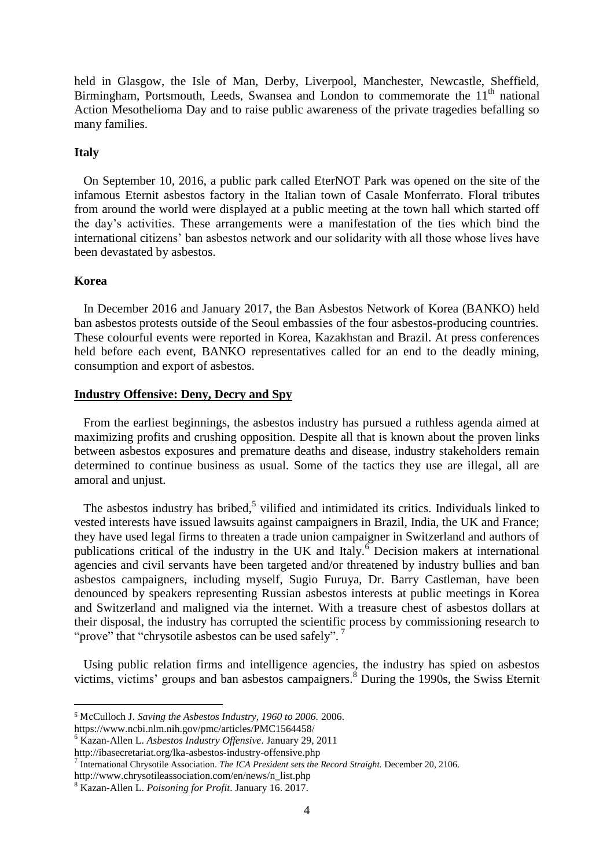held in Glasgow, the Isle of Man, Derby, Liverpool, Manchester, Newcastle, Sheffield, Birmingham, Portsmouth, Leeds, Swansea and London to commemorate the  $11<sup>th</sup>$  national Action Mesothelioma Day and to raise public awareness of the private tragedies befalling so many families.

# **Italy**

 On September 10, 2016, a public park called EterNOT Park was opened on the site of the infamous Eternit asbestos factory in the Italian town of Casale Monferrato. Floral tributes from around the world were displayed at a public meeting at the town hall which started off the day's activities. These arrangements were a manifestation of the ties which bind the international citizens' ban asbestos network and our solidarity with all those whose lives have been devastated by asbestos.

## **Korea**

<u>.</u>

 In December 2016 and January 2017, the Ban Asbestos Network of Korea (BANKO) held ban asbestos protests outside of the Seoul embassies of the four asbestos-producing countries. These colourful events were reported in Korea, Kazakhstan and Brazil. At press conferences held before each event, BANKO representatives called for an end to the deadly mining, consumption and export of asbestos.

## **Industry Offensive: Deny, Decry and Spy**

 From the earliest beginnings, the asbestos industry has pursued a ruthless agenda aimed at maximizing profits and crushing opposition. Despite all that is known about the proven links between asbestos exposures and premature deaths and disease, industry stakeholders remain determined to continue business as usual. Some of the tactics they use are illegal, all are amoral and unjust.

The asbestos industry has bribed,<sup>5</sup> vilified and intimidated its critics. Individuals linked to vested interests have issued lawsuits against campaigners in Brazil, India, the UK and France; they have used legal firms to threaten a trade union campaigner in Switzerland and authors of publications critical of the industry in the UK and Italy.<sup>6</sup> Decision makers at international agencies and civil servants have been targeted and/or threatened by industry bullies and ban asbestos campaigners, including myself, Sugio Furuya, Dr. Barry Castleman, have been denounced by speakers representing Russian asbestos interests at public meetings in Korea and Switzerland and maligned via the internet. With a treasure chest of asbestos dollars at their disposal, the industry has corrupted the scientific process by commissioning research to "prove" that "chrysotile asbestos can be used safely".<sup>7</sup>

 Using public relation firms and intelligence agencies, the industry has spied on asbestos victims, victims' groups and ban asbestos campaigners.<sup>8</sup> During the 1990s, the Swiss Eternit

<sup>5</sup> McCulloch J. *Saving the Asbestos Industry, 1960 to 2006.* 2006.

https://www.ncbi.nlm.nih.gov/pmc/articles/PMC1564458/

<sup>6</sup> Kazan-Allen L. *Asbestos Industry Offensive*. January 29, 2011

http://ibasecretariat.org/lka-asbestos-industry-offensive.php

<sup>7</sup> International Chrysotile Association. *The ICA President sets the Record Straight.* December 20, 2106.

http://www.chrysotileassociation.com/en/news/n\_list.php

<sup>8</sup> Kazan-Allen L. *Poisoning for Profit*. January 16. 2017.